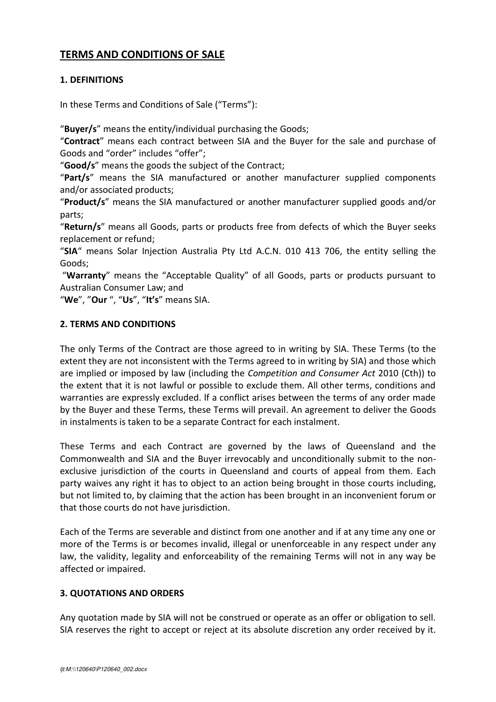# **TERMS AND CONDITIONS OF SALE**

# **1. DEFINITIONS**

In these Terms and Conditions of Sale ("Terms"):

"**Buyer/s**" means the entity/individual purchasing the Goods;

"**Contract**" means each contract between SIA and the Buyer for the sale and purchase of Goods and "order" includes "offer";

"**Good/s**" means the goods the subject of the Contract;

"**Part/s**" means the SIA manufactured or another manufacturer supplied components and/or associated products;

"**Product/s**" means the SIA manufactured or another manufacturer supplied goods and/or parts;

"**Return/s**" means all Goods, parts or products free from defects of which the Buyer seeks replacement or refund;

"**SIA**" means Solar Injection Australia Pty Ltd A.C.N. 010 413 706, the entity selling the Goods;

"**Warranty**" means the "Acceptable Quality" of all Goods, parts or products pursuant to Australian Consumer Law; and

"**We**", "**Our** ", "**Us**", "**It's**" means SIA.

### **2. TERMS AND CONDITIONS**

The only Terms of the Contract are those agreed to in writing by SIA. These Terms (to the extent they are not inconsistent with the Terms agreed to in writing by SIA) and those which are implied or imposed by law (including the *Competition and Consumer Act* 2010 (Cth)) to the extent that it is not lawful or possible to exclude them. All other terms, conditions and warranties are expressly excluded. lf a conflict arises between the terms of any order made by the Buyer and these Terms, these Terms will prevail. An agreement to deliver the Goods in instalments is taken to be a separate Contract for each instalment.

These Terms and each Contract are governed by the laws of Queensland and the Commonwealth and SIA and the Buyer irrevocably and unconditionally submit to the nonexclusive jurisdiction of the courts in Queensland and courts of appeal from them. Each party waives any right it has to object to an action being brought in those courts including, but not limited to, by claiming that the action has been brought in an inconvenient forum or that those courts do not have jurisdiction.

Each of the Terms are severable and distinct from one another and if at any time any one or more of the Terms is or becomes invalid, illegal or unenforceable in any respect under any law, the validity, legality and enforceability of the remaining Terms will not in any way be affected or impaired.

# **3. QUOTATIONS AND ORDERS**

Any quotation made by SIA will not be construed or operate as an offer or obligation to sell. SIA reserves the right to accept or reject at its absolute discretion any order received by it.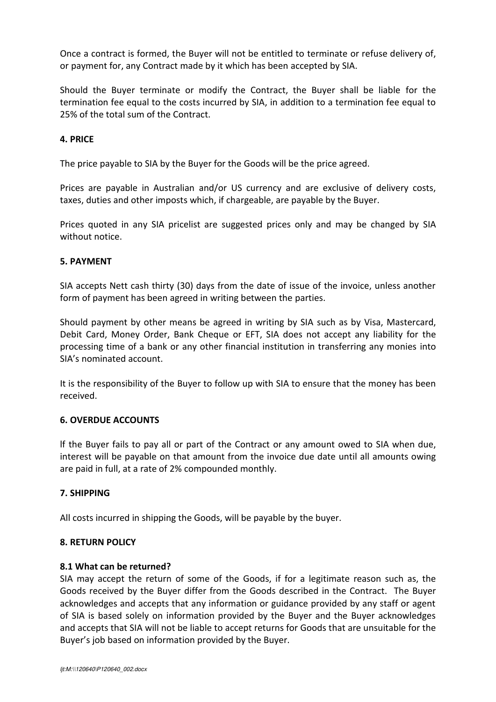Once a contract is formed, the Buyer will not be entitled to terminate or refuse delivery of, or payment for, any Contract made by it which has been accepted by SIA.

Should the Buyer terminate or modify the Contract, the Buyer shall be liable for the termination fee equal to the costs incurred by SIA, in addition to a termination fee equal to 25% of the total sum of the Contract.

### **4. PRICE**

The price payable to SIA by the Buyer for the Goods will be the price agreed.

Prices are payable in Australian and/or US currency and are exclusive of delivery costs, taxes, duties and other imposts which, if chargeable, are payable by the Buyer.

Prices quoted in any SIA pricelist are suggested prices only and may be changed by SIA without notice.

#### **5. PAYMENT**

SIA accepts Nett cash thirty (30) days from the date of issue of the invoice, unless another form of payment has been agreed in writing between the parties.

Should payment by other means be agreed in writing by SIA such as by Visa, Mastercard, Debit Card, Money Order, Bank Cheque or EFT, SIA does not accept any liability for the processing time of a bank or any other financial institution in transferring any monies into SIA's nominated account.

It is the responsibility of the Buyer to follow up with SIA to ensure that the money has been received.

#### **6. OVERDUE ACCOUNTS**

lf the Buyer fails to pay all or part of the Contract or any amount owed to SIA when due, interest will be payable on that amount from the invoice due date until all amounts owing are paid in full, at a rate of 2% compounded monthly.

#### **7. SHIPPING**

All costs incurred in shipping the Goods, will be payable by the buyer.

#### **8. RETURN POLICY**

#### **8.1 What can be returned?**

SIA may accept the return of some of the Goods, if for a legitimate reason such as, the Goods received by the Buyer differ from the Goods described in the Contract. The Buyer acknowledges and accepts that any information or guidance provided by any staff or agent of SIA is based solely on information provided by the Buyer and the Buyer acknowledges and accepts that SIA will not be liable to accept returns for Goods that are unsuitable for the Buyer's job based on information provided by the Buyer.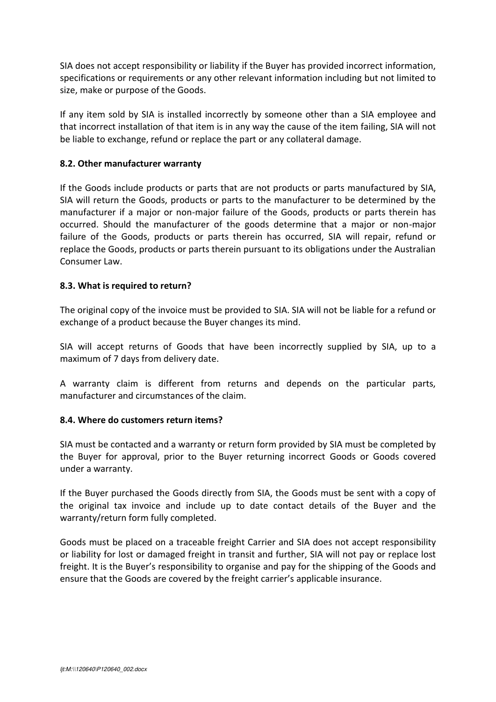SIA does not accept responsibility or liability if the Buyer has provided incorrect information, specifications or requirements or any other relevant information including but not limited to size, make or purpose of the Goods.

If any item sold by SIA is installed incorrectly by someone other than a SIA employee and that incorrect installation of that item is in any way the cause of the item failing, SIA will not be liable to exchange, refund or replace the part or any collateral damage.

### **8.2. Other manufacturer warranty**

If the Goods include products or parts that are not products or parts manufactured by SIA, SIA will return the Goods, products or parts to the manufacturer to be determined by the manufacturer if a major or non-major failure of the Goods, products or parts therein has occurred. Should the manufacturer of the goods determine that a major or non-major failure of the Goods, products or parts therein has occurred, SIA will repair, refund or replace the Goods, products or parts therein pursuant to its obligations under the Australian Consumer Law.

### **8.3. What is required to return?**

The original copy of the invoice must be provided to SIA. SIA will not be liable for a refund or exchange of a product because the Buyer changes its mind.

SIA will accept returns of Goods that have been incorrectly supplied by SIA, up to a maximum of 7 days from delivery date.

A warranty claim is different from returns and depends on the particular parts, manufacturer and circumstances of the claim.

#### **8.4. Where do customers return items?**

SIA must be contacted and a warranty or return form provided by SIA must be completed by the Buyer for approval, prior to the Buyer returning incorrect Goods or Goods covered under a warranty.

If the Buyer purchased the Goods directly from SIA, the Goods must be sent with a copy of the original tax invoice and include up to date contact details of the Buyer and the warranty/return form fully completed.

Goods must be placed on a traceable freight Carrier and SIA does not accept responsibility or liability for lost or damaged freight in transit and further, SIA will not pay or replace lost freight. It is the Buyer's responsibility to organise and pay for the shipping of the Goods and ensure that the Goods are covered by the freight carrier's applicable insurance.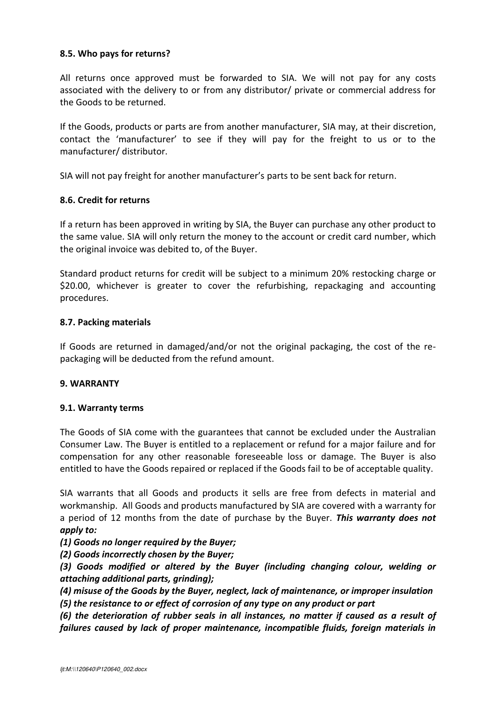### **8.5. Who pays for returns?**

All returns once approved must be forwarded to SIA. We will not pay for any costs associated with the delivery to or from any distributor/ private or commercial address for the Goods to be returned.

If the Goods, products or parts are from another manufacturer, SIA may, at their discretion, contact the 'manufacturer' to see if they will pay for the freight to us or to the manufacturer/ distributor.

SIA will not pay freight for another manufacturer's parts to be sent back for return.

### **8.6. Credit for returns**

If a return has been approved in writing by SIA, the Buyer can purchase any other product to the same value. SIA will only return the money to the account or credit card number, which the original invoice was debited to, of the Buyer.

Standard product returns for credit will be subject to a minimum 20% restocking charge or \$20.00, whichever is greater to cover the refurbishing, repackaging and accounting procedures.

### **8.7. Packing materials**

If Goods are returned in damaged/and/or not the original packaging, the cost of the repackaging will be deducted from the refund amount.

#### **9. WARRANTY**

#### **9.1. Warranty terms**

The Goods of SIA come with the guarantees that cannot be excluded under the Australian Consumer Law. The Buyer is entitled to a replacement or refund for a major failure and for compensation for any other reasonable foreseeable loss or damage. The Buyer is also entitled to have the Goods repaired or replaced if the Goods fail to be of acceptable quality.

SIA warrants that all Goods and products it sells are free from defects in material and workmanship. All Goods and products manufactured by SIA are covered with a warranty for a period of 12 months from the date of purchase by the Buyer. *This warranty does not apply to:* 

*(1) Goods no longer required by the Buyer;* 

*(2) Goods incorrectly chosen by the Buyer;* 

*(3) Goods modified or altered by the Buyer (including changing colour, welding or attaching additional parts, grinding);* 

*(4) misuse of the Goods by the Buyer, neglect, lack of maintenance, or improper insulation* 

*(5) the resistance to or effect of corrosion of any type on any product or part* 

*(6) the deterioration of rubber seals in all instances, no matter if caused as a result of failures caused by lack of proper maintenance, incompatible fluids, foreign materials in*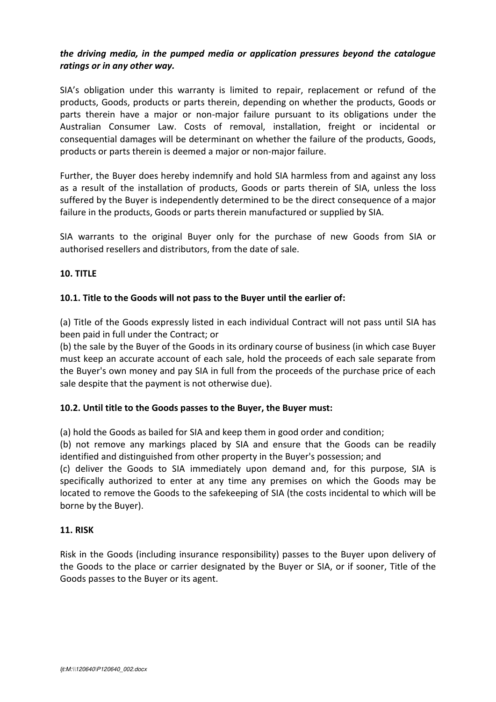# *the driving media, in the pumped media or application pressures beyond the catalogue ratings or in any other way.*

SIA's obligation under this warranty is limited to repair, replacement or refund of the products, Goods, products or parts therein, depending on whether the products, Goods or parts therein have a major or non-major failure pursuant to its obligations under the Australian Consumer Law. Costs of removal, installation, freight or incidental or consequential damages will be determinant on whether the failure of the products, Goods, products or parts therein is deemed a major or non-major failure.

Further, the Buyer does hereby indemnify and hold SIA harmless from and against any loss as a result of the installation of products, Goods or parts therein of SIA, unless the loss suffered by the Buyer is independently determined to be the direct consequence of a major failure in the products, Goods or parts therein manufactured or supplied by SIA.

SIA warrants to the original Buyer only for the purchase of new Goods from SIA or authorised resellers and distributors, from the date of sale.

### **10. TITLE**

### **10.1. Title to the Goods will not pass to the Buyer until the earlier of:**

(a) Title of the Goods expressly listed in each individual Contract will not pass until SIA has been paid in full under the Contract; or

(b) the sale by the Buyer of the Goods in its ordinary course of business (in which case Buyer must keep an accurate account of each sale, hold the proceeds of each sale separate from the Buyer's own money and pay SIA in full from the proceeds of the purchase price of each sale despite that the payment is not otherwise due).

# **10.2. Until title to the Goods passes to the Buyer, the Buyer must:**

(a) hold the Goods as bailed for SIA and keep them in good order and condition;

(b) not remove any markings placed by SIA and ensure that the Goods can be readily identified and distinguished from other property in the Buyer's possession; and

(c) deliver the Goods to SIA immediately upon demand and, for this purpose, SIA is specifically authorized to enter at any time any premises on which the Goods may be located to remove the Goods to the safekeeping of SIA (the costs incidental to which will be borne by the Buyer).

### **11. RISK**

Risk in the Goods (including insurance responsibility) passes to the Buyer upon delivery of the Goods to the place or carrier designated by the Buyer or SIA, or if sooner, Title of the Goods passes to the Buyer or its agent.